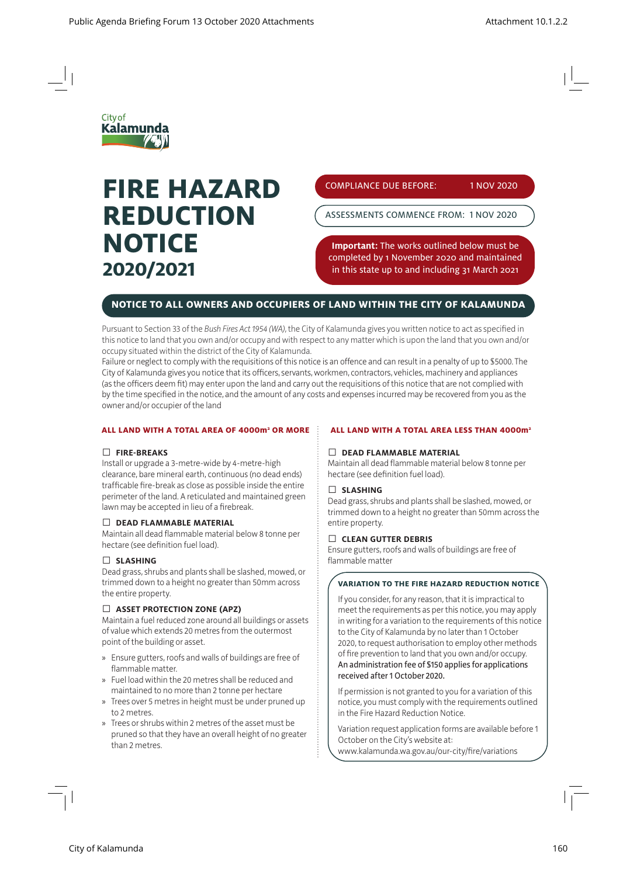

# **FIRE HAZARD REDUCTION NOTICE 2020/2021**

COMPLIANCE DUE BEFORE: 1 NOV 2020

ASSESSMENTS COMMENCE FROM: 1 NOV 2020

**Important:** The works outlined below must be completed by 1 November 2020 and maintained in this state up to and including 31 March 2021

# **NOTICE TO ALL OWNERS AND OCCUPIERS OF LAND WITHIN THE CITY OF KALAMUNDA**

Pursuant to Section 33 of the *Bush Fires Act 1954 (WA)*, the City of Kalamunda gives you written notice to act as specified in this notice to land that you own and/or occupy and with respect to any matter which is upon the land that you own and/or occupy situated within the district of the City of Kalamunda.

Failure or neglect to comply with the requisitions of this notice is an offence and can result in a penalty of up to \$5000. The City of Kalamunda gives you notice that its officers, servants, workmen, contractors, vehicles, machinery and appliances (as the officers deem fit) may enter upon the land and carry out the requisitions of this notice that are not complied with by the time specified in the notice, and the amount of any costs and expenses incurred may be recovered from you as the owner and/or occupier of the land

#### **ALL LAND WITH A TOTAL AREA OF 4000m2 OR MORE**

#### Ƚ **FIRE-BREAKS**

Install or upgrade a 3-metre-wide by 4-metre-high clearance, bare mineral earth, continuous (no dead ends) trafficable fire-break as close as possible inside the entire perimeter of the land. A reticulated and maintained green lawn may be accepted in lieu of a firebreak.

#### Ƚ **DEAD FLAMMABLE MATERIAL**

Maintain all dead flammable material below 8 tonne per hectare (see definition fuel load).

#### Ƚ **SLASHING**

Dead grass, shrubs and plants shall be slashed, mowed, or trimmed down to a height no greater than 50mm across the entire property.

## Ƚ **ASSET PROTECTION ZONE (APZ)**

Maintain a fuel reduced zone around all buildings or assets of value which extends 20 metres from the outermost point of the building or asset.

- » Ensure gutters, roofs and walls of buildings are free of flammable matter.
- » Fuel load within the 20 metres shall be reduced and maintained to no more than 2 tonne per hectare
- » Trees over 5 metres in height must be under pruned up to 2 metres.
- » Trees or shrubs within 2 metres of the asset must be pruned so that they have an overall height of no greater than 2 metres.

#### **ALL LAND WITH A TOTAL AREA LESS THAN 4000m2**

#### Ƚ **DEAD FLAMMABLE MATERIAL**

Maintain all dead flammable material below 8 tonne per hectare (see definition fuel load).

#### Ƚ **SLASHING**

Dead grass, shrubs and plants shall be slashed, mowed, or trimmed down to a height no greater than 50mm across the entire property.

#### Ƚ **CLEAN GUTTER DEBRIS**

Ensure gutters, roofs and walls of buildings are free of flammable matter

#### **VARIATION TO THE FIRE HAZARD REDUCTION NOTICE**

If you consider, for any reason, that it is impractical to meet the requirements as per this notice, you may apply in writing for a variation to the requirements of this notice to the City of Kalamunda by no later than 1 October 2020, to request authorisation to employ other methods of fire prevention to land that you own and/or occupy. An administration fee of \$150 applies for applications received after 1 October 2020.

If permission is not granted to you for a variation of this notice, you must comply with the requirements outlined in the Fire Hazard Reduction Notice.

Variation request application forms are available before 1 October on the City's website at: www.kalamunda.wa.gov.au/our-city/fire/variations